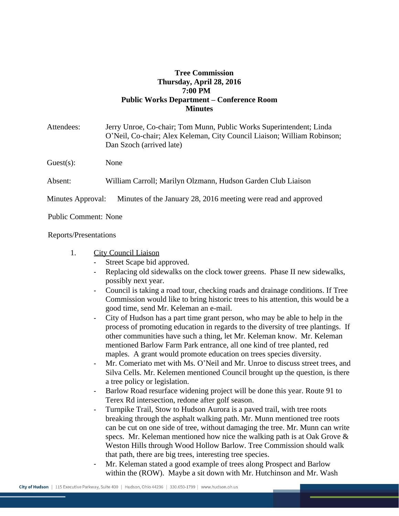## **Tree Commission Thursday, April 28, 2016 7:00 PM Public Works Department – Conference Room Minutes**

| Attendees:        | Jerry Unroe, Co-chair; Tom Munn, Public Works Superintendent; Linda<br>O'Neil, Co-chair; Alex Keleman, City Council Liaison; William Robinson;<br>Dan Szoch (arrived late) |
|-------------------|----------------------------------------------------------------------------------------------------------------------------------------------------------------------------|
| Guest(s):         | None                                                                                                                                                                       |
| Absent:           | William Carroll; Marilyn Olzmann, Hudson Garden Club Liaison                                                                                                               |
| Minutes Approval: | Minutes of the January 28, 2016 meeting were read and approved                                                                                                             |

Public Comment: None

## Reports/Presentations

- 1. City Council Liaison
	- Street Scape bid approved.
	- Replacing old sidewalks on the clock tower greens. Phase II new sidewalks, possibly next year.
	- Council is taking a road tour, checking roads and drainage conditions. If Tree Commission would like to bring historic trees to his attention, this would be a good time, send Mr. Keleman an e-mail.
	- City of Hudson has a part time grant person, who may be able to help in the process of promoting education in regards to the diversity of tree plantings. If other communities have such a thing, let Mr. Keleman know. Mr. Keleman mentioned Barlow Farm Park entrance, all one kind of tree planted, red maples. A grant would promote education on trees species diversity.
	- Mr. Comeriato met with Ms. O'Neil and Mr. Unroe to discuss street trees, and Silva Cells. Mr. Kelemen mentioned Council brought up the question, is there a tree policy or legislation.
	- Barlow Road resurface widening project will be done this year. Route 91 to Terex Rd intersection, redone after golf season.
	- Turnpike Trail, Stow to Hudson Aurora is a paved trail, with tree roots breaking through the asphalt walking path. Mr. Munn mentioned tree roots can be cut on one side of tree, without damaging the tree. Mr. Munn can write specs. Mr. Keleman mentioned how nice the walking path is at Oak Grove  $\&$ Weston Hills through Wood Hollow Barlow. Tree Commission should walk that path, there are big trees, interesting tree species.
	- Mr. Keleman stated a good example of trees along Prospect and Barlow within the (ROW). Maybe a sit down with Mr. Hutchinson and Mr. Wash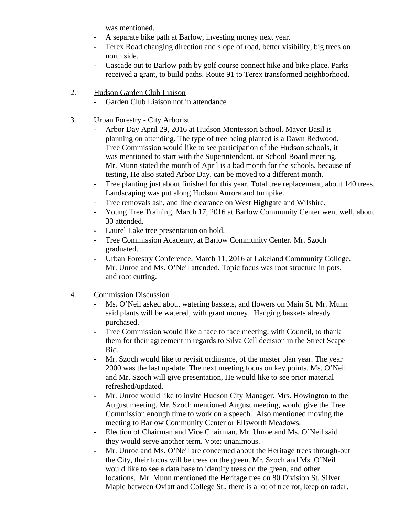was mentioned.

- A separate bike path at Barlow, investing money next year.
- Terex Road changing direction and slope of road, better visibility, big trees on north side.
- Cascade out to Barlow path by golf course connect hike and bike place. Parks received a grant, to build paths. Route 91 to Terex transformed neighborhood.
- 2. Hudson Garden Club Liaison
	- Garden Club Liaison not in attendance
- 3. Urban Forestry City Arborist
	- Arbor Day April 29, 2016 at Hudson Montessori School. Mayor Basil is planning on attending. The type of tree being planted is a Dawn Redwood. Tree Commission would like to see participation of the Hudson schools, it was mentioned to start with the Superintendent, or School Board meeting. Mr. Munn stated the month of April is a bad month for the schools, because of testing, He also stated Arbor Day, can be moved to a different month.
	- Tree planting just about finished for this year. Total tree replacement, about 140 trees. Landscaping was put along Hudson Aurora and turnpike.
	- Tree removals ash, and line clearance on West Highgate and Wilshire.
	- Young Tree Training, March 17, 2016 at Barlow Community Center went well, about 30 attended.
	- Laurel Lake tree presentation on hold.
	- Tree Commission Academy, at Barlow Community Center. Mr. Szoch graduated.
	- Urban Forestry Conference, March 11, 2016 at Lakeland Community College. Mr. Unroe and Ms. O'Neil attended. Topic focus was root structure in pots, and root cutting.
- 4. Commission Discussion
	- Ms. O'Neil asked about watering baskets, and flowers on Main St. Mr. Munn said plants will be watered, with grant money. Hanging baskets already purchased.
	- Tree Commission would like a face to face meeting, with Council, to thank them for their agreement in regards to Silva Cell decision in the Street Scape Bid.
	- Mr. Szoch would like to revisit ordinance, of the master plan year. The year 2000 was the last up-date. The next meeting focus on key points. Ms. O'Neil and Mr. Szoch will give presentation, He would like to see prior material refreshed/updated.
	- Mr. Unroe would like to invite Hudson City Manager, Mrs. Howington to the August meeting. Mr. Szoch mentioned August meeting, would give the Tree Commission enough time to work on a speech. Also mentioned moving the meeting to Barlow Community Center or Ellsworth Meadows.
	- Election of Chairman and Vice Chairman. Mr. Unroe and Ms. O'Neil said they would serve another term. Vote: unanimous.
	- Mr. Unroe and Ms. O'Neil are concerned about the Heritage trees through-out the City, their focus will be trees on the green. Mr. Szoch and Ms. O'Neil would like to see a data base to identify trees on the green, and other locations. Mr. Munn mentioned the Heritage tree on 80 Division St, Silver Maple between Oviatt and College St., there is a lot of tree rot, keep on radar.